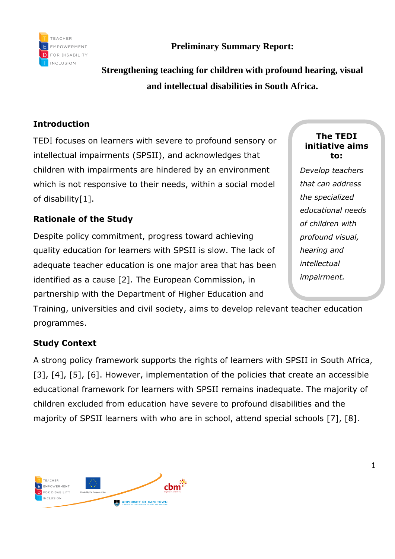

**Preliminary Summary Report:**

**Strengthening teaching for children with profound hearing, visual and intellectual disabilities in South Africa.**

## **Introduction**

TEDI focuses on learners with severe to profound sensory or intellectual impairments (SPSII), and acknowledges that children with impairments are hindered by an environment which is not responsive to their needs, within a social model of disability[1].

## **Rationale of the Study**

Despite policy commitment, progress toward achieving quality education for learners with SPSII is slow. The lack of adequate teacher education is one major area that has been identified as a cause [2]. The European Commission, in partnership with the Department of Higher Education and

Training, universities and civil society, aims to develop relevant teacher education programmes.

## **Study Context**

A strong policy framework supports the rights of learners with SPSII in South Africa, [3], [4], [5], [6]. However, implementation of the policies that create an accessible educational framework for learners with SPSII remains inadequate. The majority of children excluded from education have severe to profound disabilities and the majority of SPSII learners with who are in school, attend special schools [7], [8].



#### **The TEDI initiative aims to:**

*Develop teachers that can address the specialized educational needs of children with profound visual, hearing and intellectual impairment.*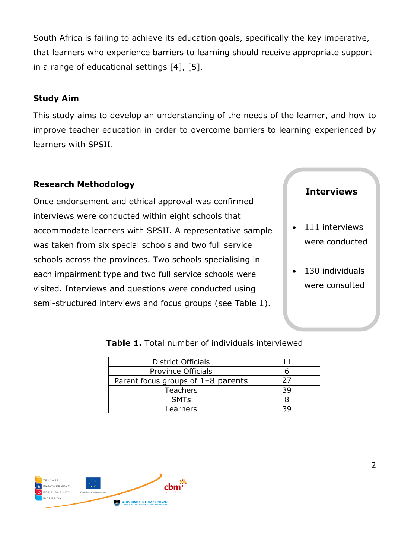South Africa is failing to achieve its education goals, specifically the key imperative, that learners who experience barriers to learning should receive appropriate support in a range of educational settings [4], [5].

#### **Study Aim**

This study aims to develop an understanding of the needs of the learner, and how to improve teacher education in order to overcome barriers to learning experienced by learners with SPSII.

## **Research Methodology**

Once endorsement and ethical approval was confirmed interviews were conducted within eight schools that accommodate learners with SPSII. A representative sample was taken from six special schools and two full service schools across the provinces. Two schools specialising in each impairment type and two full service schools were visited. Interviews and questions were conducted using semi-structured interviews and focus groups (see Table 1).

## **Interviews**

- 111 interviews were conducted
- 130 individuals were consulted

| <b>District Officials</b>          |    |
|------------------------------------|----|
| <b>Province Officials</b>          |    |
| Parent focus groups of 1-8 parents | 27 |
| <b>Teachers</b>                    | 39 |
| <b>SMT<sub>S</sub></b>             |    |
| Learners                           | จด |

#### **Table 1.** Total number of individuals interviewed

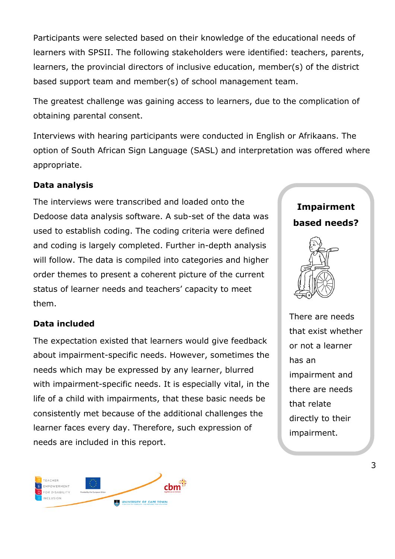Participants were selected based on their knowledge of the educational needs of learners with SPSII. The following stakeholders were identified: teachers, parents, learners, the provincial directors of inclusive education, member(s) of the district based support team and member(s) of school management team.

The greatest challenge was gaining access to learners, due to the complication of obtaining parental consent.

Interviews with hearing participants were conducted in English or Afrikaans. The option of South African Sign Language (SASL) and interpretation was offered where appropriate.

## **Data analysis**

The interviews were transcribed and loaded onto the Dedoose data analysis software. A sub-set of the data was used to establish coding. The coding criteria were defined and coding is largely completed. Further in-depth analysis will follow. The data is compiled into categories and higher order themes to present a coherent picture of the current status of learner needs and teachers' capacity to meet them.

#### **Data included**

The expectation existed that learners would give feedback about impairment-specific needs. However, sometimes the needs which may be expressed by any learner, blurred with impairment-specific needs. It is especially vital, in the life of a child with impairments, that these basic needs be consistently met because of the additional challenges the learner faces every day. Therefore, such expression of needs are included in this report.



# **Impairment based needs?**

There are needs that exist whether or not a learner has an impairment and there are needs that relate directly to their impairment.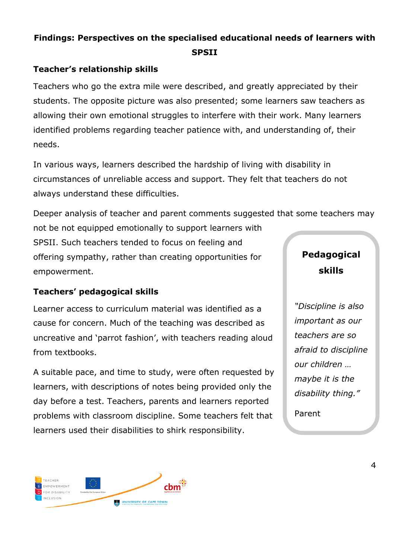# **Findings: Perspectives on the specialised educational needs of learners with SPSII**

## **Teacher's relationship skills**

Teachers who go the extra mile were described, and greatly appreciated by their students. The opposite picture was also presented; some learners saw teachers as allowing their own emotional struggles to interfere with their work. Many learners identified problems regarding teacher patience with, and understanding of, their needs.

In various ways, learners described the hardship of living with disability in circumstances of unreliable access and support. They felt that teachers do not always understand these difficulties.

Deeper analysis of teacher and parent comments suggested that some teachers may not be not equipped emotionally to support learners with SPSII. Such teachers tended to focus on feeling and offering sympathy, rather than creating opportunities for empowerment. **Pedagogical skills**

#### **Teachers' pedagogical skills**

Learner access to curriculum material was identified as a cause for concern. Much of the teaching was described as uncreative and 'parrot fashion', with teachers reading aloud from textbooks.

A suitable pace, and time to study, were often requested by learners, with descriptions of notes being provided only the day before a test. Teachers, parents and learners reported problems with classroom discipline. Some teachers felt that learners used their disabilities to shirk responsibility.

*"Discipline is also important as our teachers are so afraid to discipline our children … maybe it is the disability thing."*

Parent

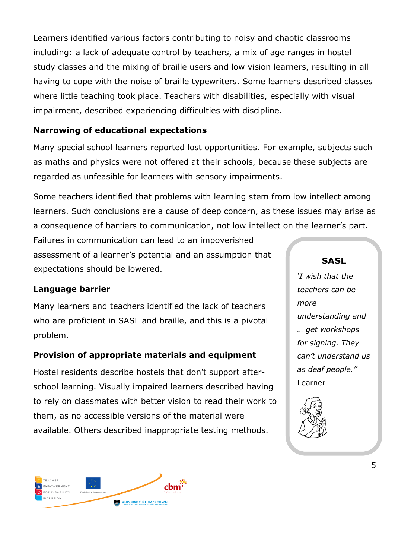Learners identified various factors contributing to noisy and chaotic classrooms including: a lack of adequate control by teachers, a mix of age ranges in hostel study classes and the mixing of braille users and low vision learners, resulting in all having to cope with the noise of braille typewriters. Some learners described classes where little teaching took place. Teachers with disabilities, especially with visual impairment, described experiencing difficulties with discipline.

## **Narrowing of educational expectations**

Many special school learners reported lost opportunities. For example, subjects such as maths and physics were not offered at their schools, because these subjects are regarded as unfeasible for learners with sensory impairments.

Some teachers identified that problems with learning stem from low intellect among learners. Such conclusions are a cause of deep concern, as these issues may arise as a consequence of barriers to communication, not low intellect on the learner's part.

Failures in communication can lead to an impoverished assessment of a learner's potential and an assumption that expectations should be lowered.

## **Language barrier**

Many learners and teachers identified the lack of teachers who are proficient in SASL and braille, and this is a pivotal problem.

## **Provision of appropriate materials and equipment**

Hostel residents describe hostels that don't support afterschool learning. Visually impaired learners described having to rely on classmates with better vision to read their work to them, as no accessible versions of the material were available. Others described inappropriate testing methods.



*'I wish that the teachers can be more understanding and … get workshops for signing. They can't understand us as deaf people."* Learner



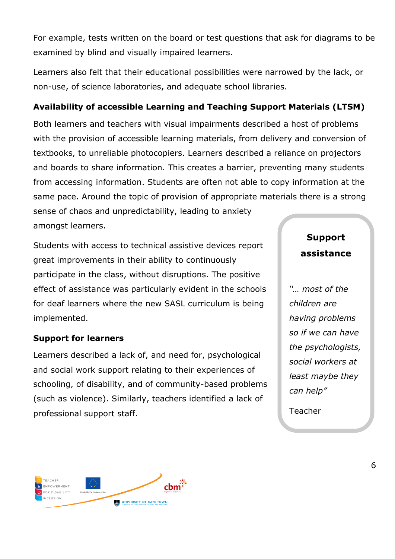For example, tests written on the board or test questions that ask for diagrams to be examined by blind and visually impaired learners.

Learners also felt that their educational possibilities were narrowed by the lack, or non-use, of science laboratories, and adequate school libraries.

#### **Availability of accessible Learning and Teaching Support Materials (LTSM)**

Both learners and teachers with visual impairments described a host of problems with the provision of accessible learning materials, from delivery and conversion of textbooks, to unreliable photocopiers. Learners described a reliance on projectors and boards to share information. This creates a barrier, preventing many students from accessing information. Students are often not able to copy information at the same pace. Around the topic of provision of appropriate materials there is a strong

sense of chaos and unpredictability, leading to anxiety amongst learners.

Students with access to technical assistive devices report great improvements in their ability to continuously participate in the class, without disruptions. The positive effect of assistance was particularly evident in the schools for deaf learners where the new SASL curriculum is being implemented.

#### **Support for learners**

Learners described a lack of, and need for, psychological and social work support relating to their experiences of schooling, of disability, and of community-based problems (such as violence). Similarly, teachers identified a lack of professional support staff.

# **Support assistance**

*"… most of the children are having problems so if we can have the psychologists, social workers at least maybe they can help"*

Teacher

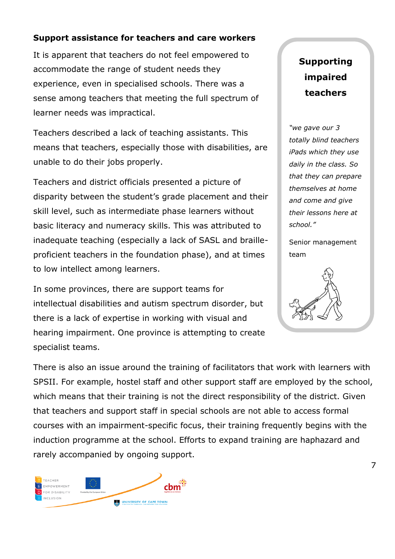#### **Support assistance for teachers and care workers**

It is apparent that teachers do not feel empowered to accommodate the range of student needs they experience, even in specialised schools. There was a sense among teachers that meeting the full spectrum of learner needs was impractical.

Teachers described a lack of teaching assistants. This means that teachers, especially those with disabilities, are unable to do their jobs properly.

Teachers and district officials presented a picture of disparity between the student's grade placement and their skill level, such as intermediate phase learners without basic literacy and numeracy skills. This was attributed to inadequate teaching (especially a lack of SASL and brailleproficient teachers in the foundation phase), and at times to low intellect among learners.

In some provinces, there are support teams for intellectual disabilities and autism spectrum disorder, but there is a lack of expertise in working with visual and hearing impairment. One province is attempting to create specialist teams.

# **Supporting impaired teachers**

*"we gave our 3 totally blind teachers iPads which they use daily in the class. So that they can prepare themselves at home and come and give their lessons here at school."*

Senior management team



There is also an issue around the training of facilitators that work with learners with SPSII. For example, hostel staff and other support staff are employed by the school, which means that their training is not the direct responsibility of the district. Given that teachers and support staff in special schools are not able to access formal courses with an impairment-specific focus, their training frequently begins with the induction programme at the school. Efforts to expand training are haphazard and rarely accompanied by ongoing support.

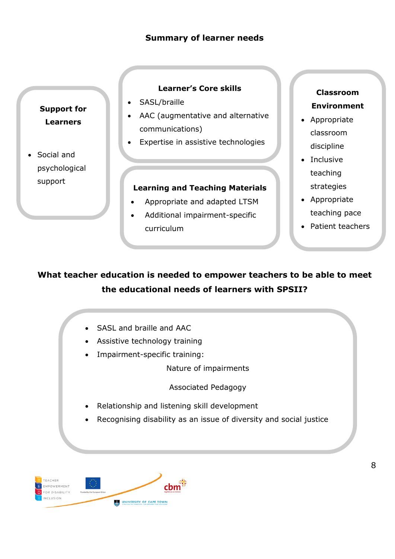#### **Summary of learner needs**

**Support for Learners**

• Social and psychological support

#### **Learner's Core skills**

- SASL/braille
- AAC (augmentative and alternative communications)
- Expertise in assistive technologies

#### **Learning and Teaching Materials**

- Appropriate and adapted LTSM
- Additional impairment-specific curriculum

## **Classroom Environment**

- Appropriate classroom discipline
- Inclusive teaching strategies
- Appropriate teaching pace
- Patient teachers

# **What teacher education is needed to empower teachers to be able to meet the educational needs of learners with SPSII?**

- SASL and braille and AAC
- Assistive technology training
- Impairment-specific training:

Nature of impairments

Associated Pedagogy

- Relationship and listening skill development
- Recognising disability as an issue of diversity and social justice

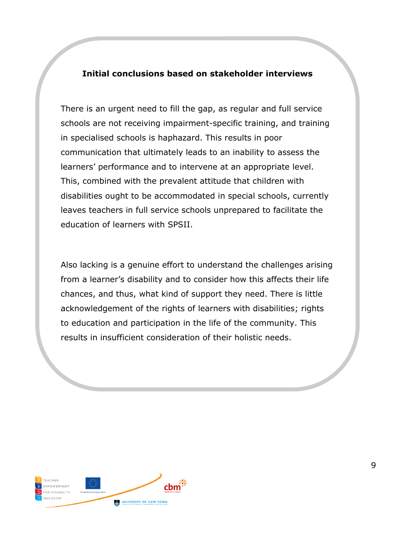#### **Initial conclusions based on stakeholder interviews**

There is an urgent need to fill the gap, as regular and full service schools are not receiving impairment-specific training, and training in specialised schools is haphazard. This results in poor communication that ultimately leads to an inability to assess the learners' performance and to intervene at an appropriate level. This, combined with the prevalent attitude that children with disabilities ought to be accommodated in special schools, currently leaves teachers in full service schools unprepared to facilitate the education of learners with SPSII.

Also lacking is a genuine effort to understand the challenges arising from a learner's disability and to consider how this affects their life chances, and thus, what kind of support they need. There is little acknowledgement of the rights of learners with disabilities; rights to education and participation in the life of the community. This results in insufficient consideration of their holistic needs.